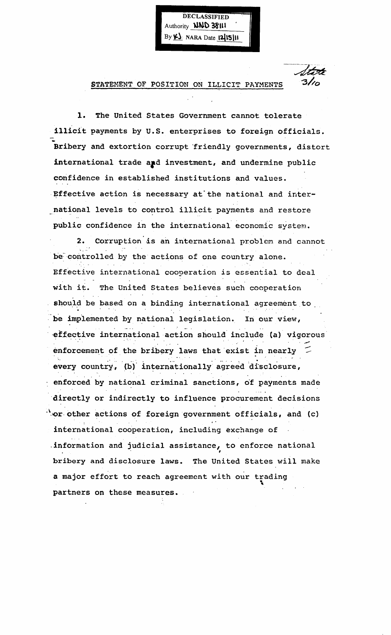Authority **NND 38111** By  $K$  NARA Date  $|2|$ 15] $|1$ 

 $\overline{\phantom{a}}$ 

DECLASSIFIED

STATEMENT OF POSITION ON ILLICIT PAYMENTS

1. The United States Government cannot tolerate illicit payments by U.S. enterprises to foreign officials. Initial payments by 0.3. enterprises to foreign officials.<br>
Bribery and extortion corrupt friendly governments, distort international trade and investment, and undermine public confidence in established institutions and values. Effective action is necessary at the national and international levels to control illicit payments and restore public confidence in the international economic system.

2. Corruption is an international problem and cannot be controlled by the actions of one country alone. Effective international cooperation is essential to deal with it. The United States believes such cooperation should be based on a binding international agreement to be implemented by national legislation. In our view, effective international action should include (a) vigorous<br>enforcement of the bribery laws that exist in nearly  $\tilde{z}$ every country, (b) internationally agreed disclosure, enforced by national criminal sanctions, of payments made directly or indirectly to influence procurement decisions ".'Or. other actions of foreign government officials, and (c) international cooperation, including exchange of . information and judicial assistance, to enforce national bribery and disclosure laws. The United States will make a major effort to reach agreement with our trading partners on these measures.